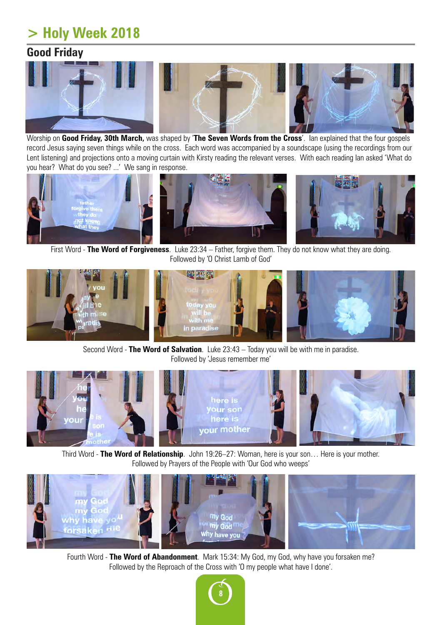## **> Holy Week 2018**

## **Good Friday**



Worship on **Good Friday, 30th March,** was shaped by '**The Seven Words from the Cross**'. Ian explained that the four gospels record Jesus saying seven things while on the cross. Each word was accompanied by a soundscape (using the recordings from our Lent listening) and projections onto a moving curtain with Kirsty reading the relevant verses. With each reading Ian asked 'What do you hear? What do you see? ...' We sang in response.



First Word - **The Word of Forgiveness**. Luke 23:34 – Father, forgive them. They do not know what they are doing. Followed by 'O Christ Lamb of God'



Second Word - **The Word of Salvation**. Luke 23:43 – Today you will be with me in paradise. Followed by 'Jesus remember me'



Third Word - **The Word of Relationship**. John 19:26–27: Woman, here is your son… Here is your mother. Followed by Prayers of the People with 'Our God who weeps'



Fourth Word - **The Word of Abandonment**. Mark 15:34: My God, my God, why have you forsaken me? Followed by the Reproach of the Cross with 'O my people what have I done'.